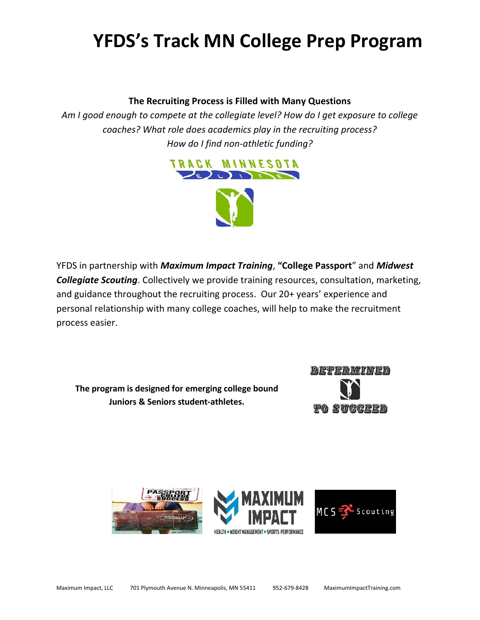# **YFDS's Track MN College Prep Program**

### **The Recruiting Process is Filled with Many Questions**

*Am I good enough to compete at the collegiate level? How do I get exposure to college coaches? What role does academics play in the recruiting process? How do I find non-athletic funding?*



YFDS in partnership with *Maximum Impact Training*, **"College Passport**" and *Midwest Collegiate Scouting*. Collectively we provide training resources, consultation, marketing, and guidance throughout the recruiting process. Our 20+ years' experience and personal relationship with many college coaches, will help to make the recruitment process easier.

**The program is designed for emerging college bound Juniors & Seniors student-athletes.**



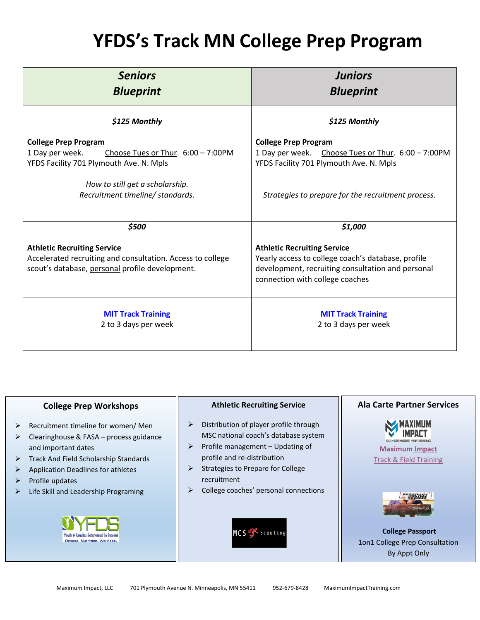## **YFDS's Track MN College Prep Program**

| <b>Seniors</b><br><b>Blueprint</b>                                                                                                                                                                     | <b>Juniors</b><br><b>Blueprint</b>                                                                                                                                                 |
|--------------------------------------------------------------------------------------------------------------------------------------------------------------------------------------------------------|------------------------------------------------------------------------------------------------------------------------------------------------------------------------------------|
| \$125 Monthly                                                                                                                                                                                          | \$125 Monthly                                                                                                                                                                      |
| <b>College Prep Program</b><br>1 Day per week.<br>Choose Tues or Thur. 6:00 - 7:00PM<br>YFDS Facility 701 Plymouth Ave. N. Mpls<br>How to still get a scholarship.<br>Recruitment timeline/ standards. | <b>College Prep Program</b><br>1 Day per week. Choose Tues or Thur. 6:00 - 7:00PM<br>YFDS Facility 701 Plymouth Ave. N. Mpls<br>Strategies to prepare for the recruitment process. |
| \$500                                                                                                                                                                                                  | \$1,000                                                                                                                                                                            |
| <b>Athletic Recruiting Service</b><br>Accelerated recruiting and consultation. Access to college<br>scout's database, personal profile development.                                                    | <b>Athletic Recruiting Service</b><br>Yearly access to college coach's database, profile<br>development, recruiting consultation and personal<br>connection with college coaches   |
| <b>MIT Track Training</b><br>2 to 3 days per week                                                                                                                                                      | <b>MIT Track Training</b><br>2 to 3 days per week                                                                                                                                  |

### **College Prep Workshops**

- ➢ Recruitment timeline for women/ Men
- $\triangleright$  Clearinghouse & FASA process guidance and important dates
- ➢ Track And Field Scholarship Standards
- ➢ Application Deadlines for athletes
- ➢ Profile updates
- ➢ Life Skill and Leadership Programing



#### **Athletic Recruiting Service**

- ➢ Distribution of player profile through MSC national coach's database system
- ➢ Profile management Updating of profile and re-distribution
- ➢ Strategies to Prepare for College recruitment
- ➢ College coaches' personal connections



### **Ala Carte Partner Services**



[Track & Field](https://maximumimpacttraining.co/general-track-field/) Training



**College Passport** 1on1 College Prep Consultation By Appt Only